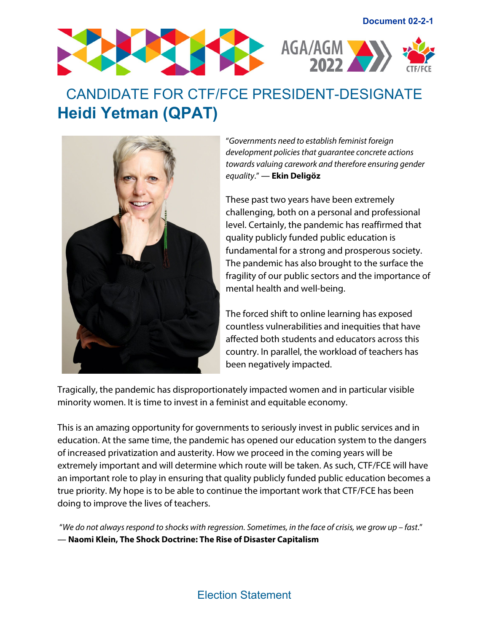

## CANDIDATE FOR CTF/FCE PRESIDENT-DESIGNATE **Heidi Yetman (QPAT)**



"*Governments need to establish feminist foreign development policies that guarantee concrete actions towards valuing carework and therefore ensuring gender equality*." ― **Ekin Deligöz**

These past two years have been extremely challenging, both on a personal and professional level. Certainly, the pandemic has reaffirmed that quality publicly funded public education is fundamental for a strong and prosperous society. The pandemic has also brought to the surface the fragility of our public sectors and the importance of mental health and well-being.

The forced shift to online learning has exposed countless vulnerabilities and inequities that have affected both students and educators across this country. In parallel, the workload of teachers has been negatively impacted.

Tragically, the pandemic has disproportionately impacted women and in particular visible minority women. It is time to invest in a feminist and equitable economy.

This is an amazing opportunity for governments to seriously invest in public services and in education. At the same time, the pandemic has opened our education system to the dangers of increased privatization and austerity. How we proceed in the coming years will be extremely important and will determine which route will be taken. As such, CTF/FCE will have an important role to play in ensuring that quality publicly funded public education becomes a true priority. My hope is to be able to continue the important work that CTF/FCE has been doing to improve the lives of teachers.

"*We do not always respond to shocks with regression. Sometimes, in the face of crisis, we grow up – fast*." ― **Naomi Klein, [The Shock Doctrine: The Rise of Disaster Capitalism](https://www.goodreads.com/work/quotes/2826418)**